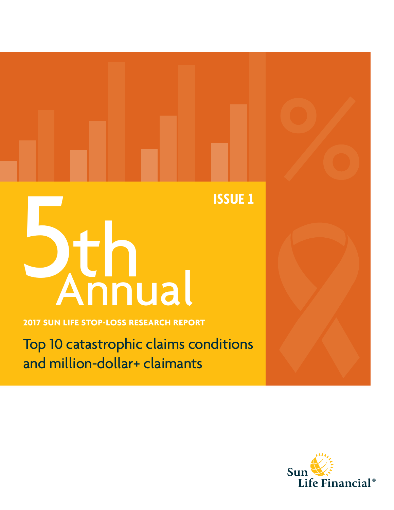# ISSUE 1

**2017 SUN LIFE STOP-LOSS RESEARCH REPORT**

Top 10 catastrophic claims conditions and million-dollar+ claimants

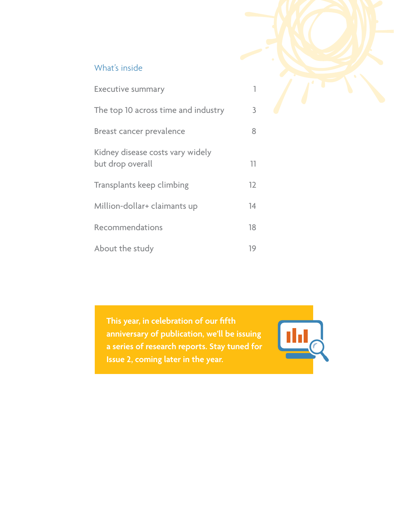#### What's inside

| <b>Executive summary</b>                             |    |
|------------------------------------------------------|----|
| The top 10 across time and industry                  | 3  |
| <b>Breast cancer prevalence</b>                      | 8  |
| Kidney disease costs vary widely<br>but drop overall | 11 |
| Transplants keep climbing                            | 12 |
| Million-dollar+ claimants up                         | 14 |
| Recommendations                                      | 18 |
| About the study                                      | 19 |

**This year, in celebration of our fifth anniversary of publication, we'll be issuing a series of research reports. Stay tuned for Issue 2, coming later in the year.**

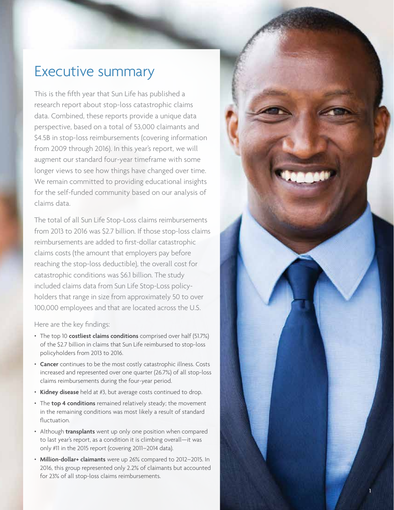## Executive summary

This is the fifth year that Sun Life has published a research report about stop-loss catastrophic claims data. Combined, these reports provide a unique data perspective, based on a total of 53,000 claimants and \$4.5B in stop-loss reimbursements (covering information from 2009 through 2016). In this year's report, we will augment our standard four-year timeframe with some longer views to see how things have changed over time. We remain committed to providing educational insights for the self-funded community based on our analysis of claims data.

The total of all Sun Life Stop-Loss claims reimbursements from 2013 to 2016 was \$2.7 billion. If those stop-loss claims reimbursements are added to first-dollar catastrophic claims costs (the amount that employers pay before reaching the stop-loss deductible), the overall cost for catastrophic conditions was \$6.1 billion. The study included claims data from Sun Life Stop-Loss policyholders that range in size from approximately 50 to over 100,000 employees and that are located across the U.S.

Here are the key findings:

- The top 10 **costliest claims conditions** comprised over half (51.7%) of the \$2.7 billion in claims that Sun Life reimbursed to stop-loss policyholders from 2013 to 2016.
- **Cancer** continues to be the most costly catastrophic illness. Costs increased and represented over one quarter (26.7%) of all stop-loss claims reimbursements during the four-year period.
- **Kidney disease** held at #3, but average costs continued to drop.
- The **top 4 conditions** remained relatively steady; the movement in the remaining conditions was most likely a result of standard fluctuation.
- Although **transplants** went up only one position when compared to last year's report, as a condition it is climbing overall—it was only #11 in the 2015 report (covering 2011–2014 data).
- **Million-dollar+ claimants** were up 26% compared to 2012–2015. In 2016, this group represented only 2.2% of claimants but accounted for 23% of all stop-loss claims reimbursements.

1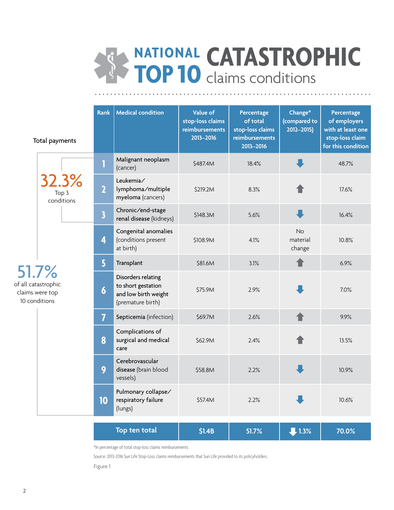# **NATIONAL TOP <sup>10</sup> CATASTROPHIC**  claims conditions

|                                                                  | Total payments               | <b>Rank</b>             | <b>Medical condition</b>                                                              | Value of<br>stop-loss claims<br>reimbursements<br>2013-2016 | Percentage<br>of total<br>stop-loss claims<br>reimbursements<br>2013-2016 | Change*<br>(compared to<br>$2012 - 2015$ | Percentage<br>of employers<br>with at least one<br>stop-loss claim<br>for this condition |
|------------------------------------------------------------------|------------------------------|-------------------------|---------------------------------------------------------------------------------------|-------------------------------------------------------------|---------------------------------------------------------------------------|------------------------------------------|------------------------------------------------------------------------------------------|
|                                                                  |                              | 1                       | Malignant neoplasm<br>(cancer)                                                        | \$487.4M                                                    | 18.4%                                                                     |                                          | 48.7%                                                                                    |
|                                                                  | 32.3%<br>Top 3<br>conditions | $\overline{\mathbf{2}}$ | Leukemia/<br>lymphoma/multiple<br>myeloma (cancers)                                   | \$219.2M                                                    | 8.3%                                                                      |                                          | 17.6%                                                                                    |
|                                                                  |                              | $\overline{\mathbf{3}}$ | Chronic/end-stage<br>renal disease (kidneys)                                          | \$148.3M                                                    | 5.6%                                                                      |                                          | 16.4%                                                                                    |
|                                                                  |                              | 4                       | Congenital anomalies<br>(conditions present<br>at birth)                              | \$108.9M                                                    | 4.1%                                                                      | <b>No</b><br>material<br>change          | 10.8%                                                                                    |
|                                                                  |                              | 5                       | Transplant                                                                            | \$81.6M                                                     | 3.1%                                                                      |                                          | 6.9%                                                                                     |
| 51.7%<br>of all catastrophic<br>claims were top<br>10 conditions |                              | $\boldsymbol{6}$        | Disorders relating<br>to short gestation<br>and low birth weight<br>(premature birth) | \$75.9M                                                     | 2.9%                                                                      |                                          | 7.0%                                                                                     |
|                                                                  |                              | $\overline{I}$          | Septicemia (infection)                                                                | \$69.7M                                                     | 2.6%                                                                      |                                          | 9.9%                                                                                     |
|                                                                  |                              | 8                       | Complications of<br>surgical and medical<br>care                                      | \$62.9M                                                     | 2.4%                                                                      |                                          | 13.5%                                                                                    |
|                                                                  |                              | 9                       | Cerebrovascular<br>disease (brain blood<br>vessels)                                   | \$58.8M                                                     | 2.2%                                                                      | ш                                        | 10.9%                                                                                    |
|                                                                  |                              | 10                      | Pulmonary collapse/<br>respiratory failure<br>(lungs)                                 | \$57.4M                                                     | 2.2%                                                                      |                                          | 10.6%                                                                                    |
|                                                                  |                              |                         | Top ten total                                                                         | \$1.4B                                                      | 51.7%                                                                     | $1.3\%$                                  | 70.0%                                                                                    |

\*In percentage of total stop-loss claims reimbursements

Source: 2013-2016 Sun Life Stop-Loss claims reimbursements that Sun Life provided to its policyholders.

Figure 1

of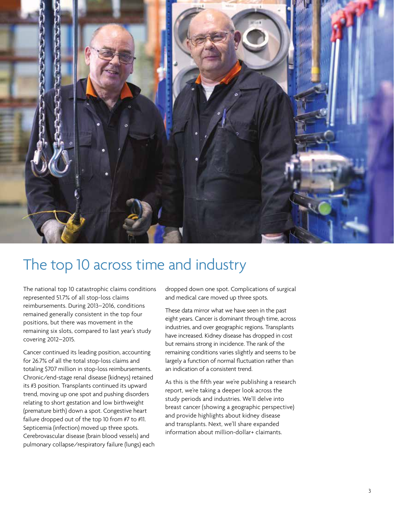

# The top 10 across time and industry

The national top 10 catastrophic claims conditions represented 51.7% of all stop-loss claims reimbursements. During 2013–2016, conditions remained generally consistent in the top four positions, but there was movement in the remaining six slots, compared to last year's study covering 2012–2015.

Cancer continued its leading position, accounting for 26.7% of all the total stop-loss claims and totaling \$707 million in stop-loss reimbursements. Chronic/end-stage renal disease (kidneys) retained its #3 position. Transplants continued its upward trend, moving up one spot and pushing disorders relating to short gestation and low birthweight (premature birth) down a spot. Congestive heart failure dropped out of the top 10 from #7 to #11. Septicemia (infection) moved up three spots. Cerebrovascular disease (brain blood vessels) and pulmonary collapse/respiratory failure (lungs) each dropped down one spot. Complications of surgical and medical care moved up three spots.

These data mirror what we have seen in the past eight years. Cancer is dominant through time, across industries, and over geographic regions. Transplants have increased. Kidney disease has dropped in cost but remains strong in incidence. The rank of the remaining conditions varies slightly and seems to be largely a function of normal fluctuation rather than an indication of a consistent trend.

As this is the fifth year we're publishing a research report, we're taking a deeper look across the study periods and industries. We'll delve into breast cancer (showing a geographic perspective) and provide highlights about kidney disease and transplants. Next, we'll share expanded information about million-dollar+ claimants.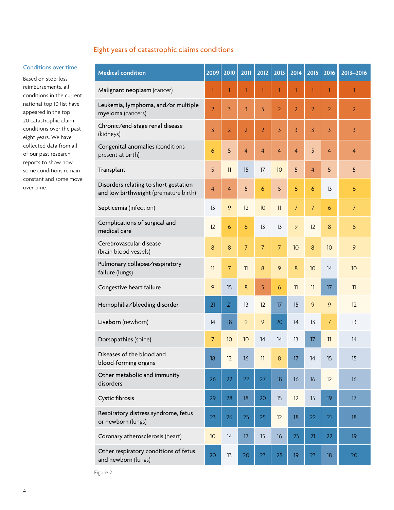#### Eight years of catastrophic claims conditions

#### Conditions over time

Based on stop-loss reimbursements, all conditions in the current national top 10 list have appeared in the top 20 catastrophic claim conditions over the past eight years. We have collected data from all of our past research reports to show how some conditions remain constant and some move over time.

| <b>Medical condition</b>                                                       | 2009           | 2010             | 2011           | 2012           | 2013           | 2014           | 2015           | 2016           | 2013-2016      |
|--------------------------------------------------------------------------------|----------------|------------------|----------------|----------------|----------------|----------------|----------------|----------------|----------------|
| Malignant neoplasm (cancer)                                                    | $\mathbf{1}$   | 1                | 1              | 1              | 1              | 1              | 1              | 1              | 1              |
| Leukemia, lymphoma, and/or multiple<br>myeloma (cancers)                       | $\overline{2}$ | 3                | 3              | 3              | $\overline{2}$ | $\overline{2}$ | $\overline{2}$ | $\overline{2}$ | $\overline{2}$ |
| Chronic/end-stage renal disease<br>(kidneys)                                   | 3              | $\overline{2}$   | $\overline{2}$ | $\overline{2}$ | $\overline{3}$ | $\overline{3}$ | 3              | 3              | 3              |
| Congenital anomalies (conditions<br>present at birth)                          | 6              | 5                | $\overline{4}$ | $\overline{4}$ | $\overline{4}$ | $\overline{4}$ | 5              | $\overline{4}$ | $\overline{4}$ |
| Transplant                                                                     | 5              | 11               | 15             | 17             | 10             | 5              | $\overline{4}$ | 5              | 5              |
| Disorders relating to short gestation<br>and low birthweight (premature birth) | $\overline{4}$ | $\overline{4}$   | 5              | 6              | 5              | 6              | 6              | 13             | 6              |
| Septicemia (infection)                                                         | 13             | 9                | 12             | 10             | 11             | $\overline{7}$ | $\overline{7}$ | 6              | $\overline{7}$ |
| Complications of surgical and<br>medical care                                  | 12             | 6                | 6              | 13             | 13             | $\mathbf{9}$   | 12             | 8              | 8              |
| Cerebrovascular disease<br>(brain blood vessels)                               | 8              | $\boldsymbol{8}$ | $\overline{7}$ | $\overline{7}$ | $\overline{7}$ | 10             | 8              | 10             | 9              |
| Pulmonary collapse/respiratory<br>failure (lungs)                              | 11             | $\overline{7}$   | 11             | 8              | 9              | 8              | 10             | 14             | 10             |
| Congestive heart failure                                                       | 9              | 15               | 8              | 5              | 6              | 11             | 11             | $17\text{ }$   | 11             |
| Hemophilia/bleeding disorder                                                   | 21             | 21               | 13             | 12             | 17             | 15             | 9              | 9              | 12             |
| Liveborn (newborn)                                                             | 14             | 18               | 9              | 9              | 20             | 14             | 13             | $\overline{7}$ | 13             |
| Dorsopathies (spine)                                                           | $\overline{7}$ | 10               | 10             | 14             | 14             | 13             | 17             | 11             | 14             |
| Diseases of the blood and<br>blood-forming organs                              | 18             | 12               | 16             | 11             | 8              | 17             | 14             | 15             | 15             |
| Other metabolic and immunity<br>disorders                                      | 26             | 22               | 22             | 27             | 18             | 16             | 16             | 12             | 16             |
| Cystic fibrosis                                                                | 29             | 28               | 18             | 20             | 15             | 12             | 15             | 19             | 17             |
| Respiratory distress syndrome, fetus<br>or newborn (lungs)                     | 23             | 26               | 25             | 25             | 12             | 18             | 22             | 21             | 18             |
| Coronary atherosclerosis (heart)                                               | 10             | 14               | 17             | 15             | 16             | 23             | 21             | 22             | 19             |
| Other respiratory conditions of fetus<br>and newborn (lungs)                   | 20             | 13               | 20             | 23             | 25             | 19             | 23             | 18             | 20             |

Figure 2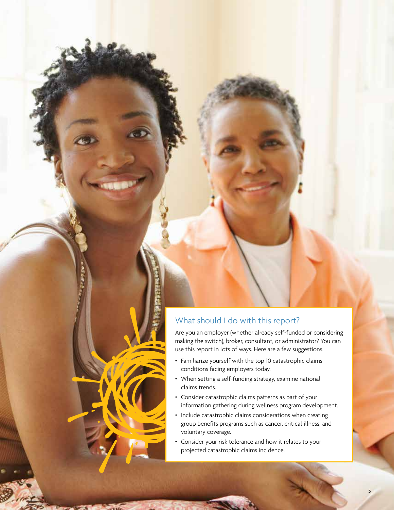#### What should I do with this report?

Are you an employer (whether already self-funded or considering making the switch), broker, consultant, or administrator? You can use this report in lots of ways. Here are a few suggestions.

- Familiarize yourself with the top 10 catastrophic claims conditions facing employers today.
- When setting a self-funding strategy, examine national claims trends.
- Consider catastrophic claims patterns as part of your information gathering during wellness program development.
- Include catastrophic claims considerations when creating group benefits programs such as cancer, critical illness, and voluntary coverage.
- Consider your risk tolerance and how it relates to your projected catastrophic claims incidence.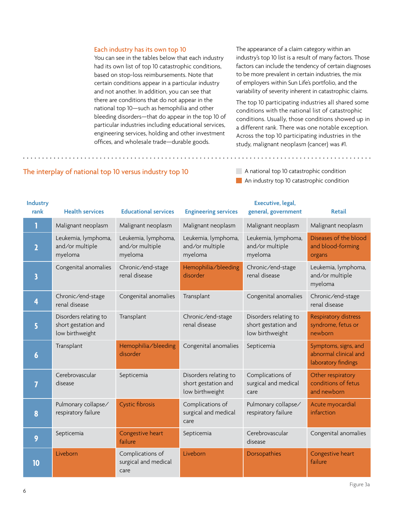#### Each industry has its own top 10

You can see in the tables below that each industry had its own list of top 10 catastrophic conditions, based on stop-loss reimbursements. Note that certain conditions appear in a particular industry and not another. In addition, you can see that there are conditions that do not appear in the national top 10—such as hemophilia and other bleeding disorders—that do appear in the top 10 of particular industries including educational services, engineering services, holding and other investment offices, and wholesale trade—durable goods.

The appearance of a claim category within an industry's top 10 list is a result of many factors. Those factors can include the tendency of certain diagnoses to be more prevalent in certain industries, the mix of employers within Sun Life's portfolio, and the variability of severity inherent in catastrophic claims.

The top 10 participating industries all shared some conditions with the national list of catastrophic conditions. Usually, those conditions showed up in a different rank. There was one notable exception. Across the top 10 participating industries in the study, malignant neoplasm (cancer) was #1.

An industry top 10 catastrophic condition

| <b>Industry</b><br>rank | <b>Health services</b>                                          | <b>Educational services</b>                       | <b>Engineering services</b>                                     | Executive, legal,<br>general, government                        | <b>Retail</b>                                                        |
|-------------------------|-----------------------------------------------------------------|---------------------------------------------------|-----------------------------------------------------------------|-----------------------------------------------------------------|----------------------------------------------------------------------|
| 1                       | Malignant neoplasm                                              | Malignant neoplasm                                | Malignant neoplasm                                              | Malignant neoplasm                                              | Malignant neoplasm                                                   |
| $\overline{\mathbf{c}}$ | Leukemia, lymphoma,<br>and/or multiple<br>myeloma               | Leukemia, lymphoma,<br>and/or multiple<br>myeloma | Leukemia, lymphoma,<br>and/or multiple<br>myeloma               | Leukemia, lymphoma,<br>and/or multiple<br>myeloma               | Diseases of the blood<br>and blood-forming<br>organs                 |
| $\overline{\mathbf{3}}$ | Congenital anomalies                                            | Chronic/end-stage<br>renal disease                | Hemophilia/bleeding<br>disorder                                 | Chronic/end-stage<br>renal disease                              | Leukemia, lymphoma,<br>and/or multiple<br>myeloma                    |
| 4                       | Chronic/end-stage<br>renal disease                              | Congenital anomalies                              | Transplant                                                      | Congenital anomalies                                            | Chronic/end-stage<br>renal disease                                   |
| 5                       | Disorders relating to<br>short gestation and<br>low birthweight | Transplant                                        | Chronic/end-stage<br>renal disease                              | Disorders relating to<br>short gestation and<br>low birthweight | <b>Respiratory distress</b><br>syndrome, fetus or<br>newborn         |
| $\boldsymbol{6}$        | Transplant                                                      | Hemophilia/bleeding<br>disorder                   | Congenital anomalies                                            | Septicemia                                                      | Symptoms, signs, and<br>abnormal clinical and<br>laboratory findings |
| $\overline{7}$          | Cerebrovascular<br>disease                                      | Septicemia                                        | Disorders relating to<br>short gestation and<br>low birthweight | Complications of<br>surgical and medical<br>care                | Other respiratory<br>conditions of fetus<br>and newborn              |
| 8                       | Pulmonary collapse/<br>respiratory failure                      | <b>Cystic fibrosis</b>                            | Complications of<br>surgical and medical<br>care                | Pulmonary collapse/<br>respiratory failure                      | Acute myocardial<br>infarction                                       |
| 9                       | Septicemia                                                      | Congestive heart<br>failure                       | Septicemia                                                      | Cerebrovascular<br>disease                                      | Congenital anomalies                                                 |
| 10                      | Liveborn                                                        | Complications of<br>surgical and medical<br>care  | Liveborn                                                        | Dorsopathies                                                    | Congestive heart<br>failure                                          |

#### The interplay of national top 10 versus industry top 10 A national top 10 catastrophic condition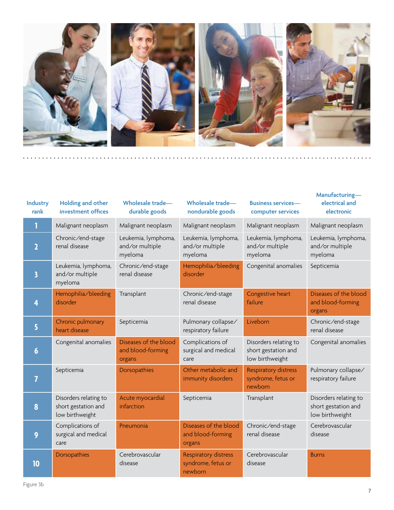

| <b>Industry</b><br>rank | <b>Holding and other</b><br>investment offices                  | Wholesale trade-<br>durable goods                    | Wholesale trade-<br>nondurable goods                         | <b>Business services-</b><br>computer services                  | Manufacturing-<br>electrical and<br>electronic                  |
|-------------------------|-----------------------------------------------------------------|------------------------------------------------------|--------------------------------------------------------------|-----------------------------------------------------------------|-----------------------------------------------------------------|
| 1                       | Malignant neoplasm                                              | Malignant neoplasm                                   | Malignant neoplasm                                           | Malignant neoplasm                                              | Malignant neoplasm                                              |
| $\overline{\mathbf{z}}$ | Chronic/end-stage<br>renal disease                              | Leukemia, lymphoma,<br>and/or multiple<br>myeloma    | Leukemia, lymphoma,<br>and/or multiple<br>myeloma            | Leukemia, lymphoma,<br>and/or multiple<br>myeloma               | Leukemia, lymphoma,<br>and/or multiple<br>myeloma               |
| 3                       | Leukemia, lymphoma,<br>and/or multiple<br>myeloma               | Chronic/end-stage<br>renal disease                   | Hemophilia/bleeding<br>disorder                              | Congenital anomalies                                            | Septicemia                                                      |
| 4                       | Hemophilia/bleeding<br>disorder                                 | Transplant                                           | Chronic/end-stage<br>renal disease                           | Congestive heart<br>failure                                     | Diseases of the blood<br>and blood-forming<br>organs            |
| 5                       | Chronic pulmonary<br>heart disease                              | Septicemia                                           | Pulmonary collapse/<br>respiratory failure                   | Liveborn                                                        | Chronic/end-stage<br>renal disease                              |
| $\boldsymbol{6}$        | Congenital anomalies                                            | Diseases of the blood<br>and blood-forming<br>organs | Complications of<br>surgical and medical<br>care             | Disorders relating to<br>short gestation and<br>low birthweight | Congenital anomalies                                            |
| 7                       | Septicemia                                                      | Dorsopathies                                         | Other metabolic and<br>immunity disorders                    | <b>Respiratory distress</b><br>syndrome, fetus or<br>newborn    | Pulmonary collapse/<br>respiratory failure                      |
| 8                       | Disorders relating to<br>short gestation and<br>low birthweight | Acute myocardial<br>infarction                       | Septicemia                                                   | Transplant                                                      | Disorders relating to<br>short gestation and<br>low birthweight |
| 9                       | Complications of<br>surgical and medical<br>care                | Pneumonia                                            | Diseases of the blood<br>and blood-forming<br>organs         | Chronic/end-stage<br>renal disease                              | Cerebrovascular<br>disease                                      |
| 10                      | Dorsopathies                                                    | Cerebrovascular<br>disease                           | <b>Respiratory distress</b><br>syndrome, fetus or<br>newborn | Cerebrovascular<br>disease                                      | <b>Burns</b>                                                    |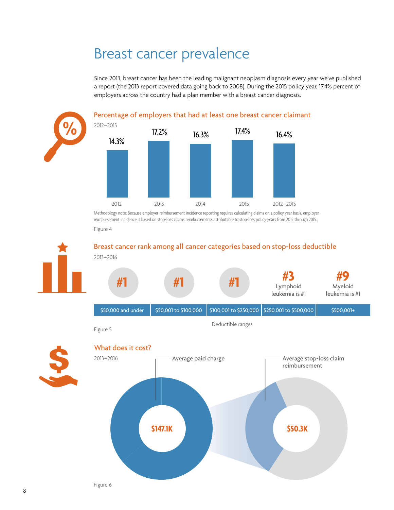# Breast cancer prevalence

Since 2013, breast cancer has been the leading malignant neoplasm diagnosis every year we've published a report (the 2013 report covered data going back to 2008). During the 2015 policy year, 17.4% percent of employers across the country had a plan member with a breast cancer diagnosis.



Methodology note: Because employer reimbursement incidence reporting requires calculating claims on a policy year basis, employer reimbursement incidence is based on stop-loss claims reimbursements attributable to stop-loss policy years from 2012 through 2015.

Figure 4

**%**

Breast cancer rank among all cancer categories based on stop-loss deductible 2013–2016

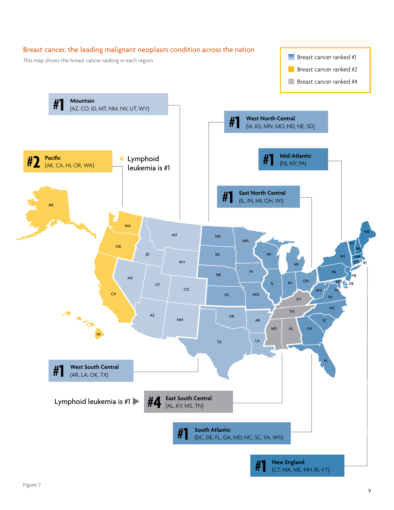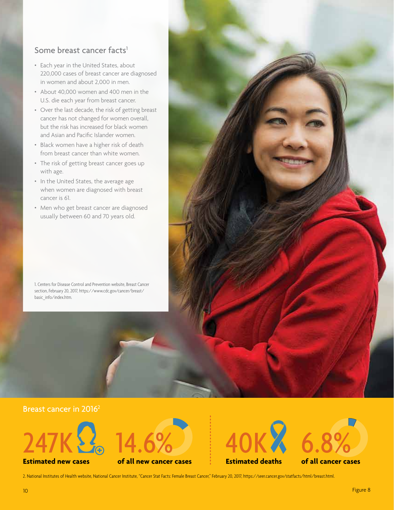#### Some breast cancer facts<sup>1</sup>

- Each year in the United States, about 220,000 cases of breast cancer are diagnosed in women and about 2,000 in men.
- About 40,000 women and 400 men in the U.S. die each year from breast cancer.
- Over the last decade, the risk of getting breast cancer has not changed for women overall, but the risk has increased for black women and Asian and Pacific Islander women.
- Black women have a higher risk of death from breast cancer than white women.
- The risk of getting breast cancer goes up with age.
- In the United States, the average age when women are diagnosed with breast cancer is 61.
- Men who get breast cancer are diagnosed usually between 60 and 70 years old.

1. Centers for Disease Control and Prevention website, Breast Cancer section, February 20, 2017, https://www.cdc.gov/cancer/breast/ basic\_info/index.htm.





**Estimated new cases**



**of all new cancer cases**



**Estimated deaths**



2. National Institutes of Health website, National Cancer Institute, "Cancer Stat Facts: Female Breast Cancer," February 20, 2017, https://seer.cancer.gov/statfacts/html/breast.html.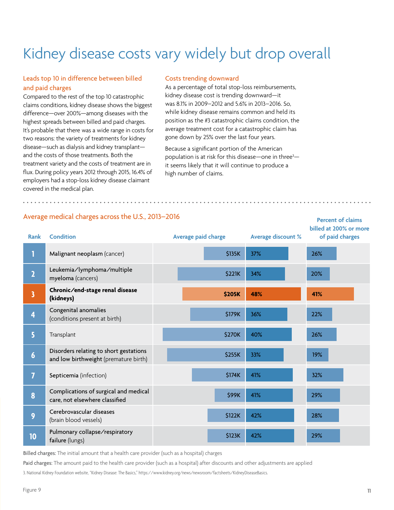# Kidney disease costs vary widely but drop overall

#### Leads top 10 in difference between billed and paid charges

Compared to the rest of the top 10 catastrophic claims conditions, kidney disease shows the biggest difference—over 200%—among diseases with the highest spreads between billed and paid charges. It's probable that there was a wide range in costs for two reasons: the variety of treatments for kidney disease—such as dialysis and kidney transplant and the costs of those treatments. Both the treatment variety and the costs of treatment are in flux. During policy years 2012 through 2015, 16.4% of employers had a stop-loss kidney disease claimant covered in the medical plan.

#### Costs trending downward

As a percentage of total stop-loss reimbursements, kidney disease cost is trending downward—it was 8.1% in 2009–2012 and 5.6% in 2013–2016. So, while kidney disease remains common and held its position as the #3 catastrophic claims condition, the average treatment cost for a catastrophic claim has gone down by 25% over the last four years.

Because a significant portion of the American population is at risk for this disease—one in three<sup>3</sup> it seems likely that it will continue to produce a high number of claims.

| Rank                    | <b>Condition</b>                                                                | Average paid charge | Average discount % | <b>Fercent Of Cidinis</b><br>billed at 200% or more<br>of paid charges |
|-------------------------|---------------------------------------------------------------------------------|---------------------|--------------------|------------------------------------------------------------------------|
| 1                       | Malignant neoplasm (cancer)                                                     | \$135K              | 37%                | 26%                                                                    |
| $\overline{2}$          | Leukemia/lymphoma/multiple<br>myeloma (cancers)                                 | <b>\$221K</b>       | 34%                | 20%                                                                    |
| $\overline{\mathbf{3}}$ | Chronic/end-stage renal disease<br>(kidneys)                                    | <b>\$205K</b>       | 48%                | 41%                                                                    |
| 4                       | Congenital anomalies<br>(conditions present at birth)                           | \$179K              | 36%                | 22%                                                                    |
| 5                       | Transplant                                                                      | \$270K              | 40%                | 26%                                                                    |
| $6\phantom{1}6$         | Disorders relating to short gestations<br>and low birthweight (premature birth) | \$255K              | 33%                | 19%                                                                    |
| $\overline{I}$          | Septicemia (infection)                                                          | \$174K              | 41%                | 32%                                                                    |
| 8                       | Complications of surgical and medical<br>care, not elsewhere classified         | \$99K               | 41%                | 29%                                                                    |
| 9                       | Cerebrovascular diseases<br>(brain blood vessels)                               | \$122K              | 42%                | 28%                                                                    |
| 10                      | Pulmonary collapse/respiratory<br>failure (lungs)                               | \$123K              | 42%                | 29%                                                                    |

Average medical charges across the U.S., 2013–2016

Billed charges: The initial amount that a health care provider (such as a hospital) charges

Paid charges: The amount paid to the health care provider (such as a hospital) after discounts and other adjustments are applied

3. National Kidney Foundation website, "Kidney Disease: The Basics," https://www.kidney.org/news/newsroom/factsheets/KidneyDiseaseBasics.

**Percent of claims**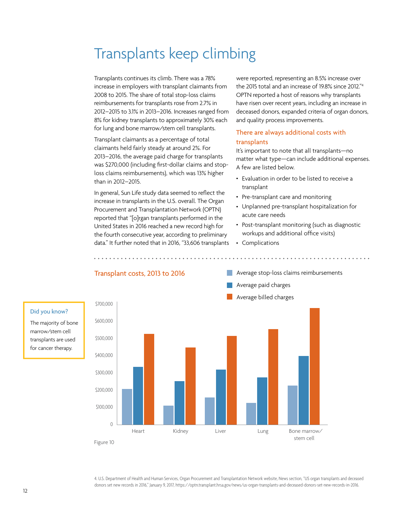# Transplants keep climbing

Transplants continues its climb. There was a 78% increase in employers with transplant claimants from 2008 to 2015. The share of total stop-loss claims reimbursements for transplants rose from 2.7% in 2012–2015 to 3.1% in 2013–2016. Increases ranged from 8% for kidney transplants to approximately 30% each for lung and bone marrow/stem cell transplants.

Transplant claimants as a percentage of total claimants held fairly steady at around 2%. For 2013–2016, the average paid charge for transplants was \$270,000 (including first-dollar claims and stoploss claims reimbursements), which was 13% higher than in 2012–2015.

In general, Sun Life study data seemed to reflect the increase in transplants in the U.S. overall. The Organ Procurement and Transplantation Network (OPTN) reported that "[o]rgan transplants performed in the United States in 2016 reached a new record high for the fourth consecutive year, according to preliminary data." It further noted that in 2016, "33,606 transplants were reported, representing an 8.5% increase over the 2015 total and an increase of 19.8% since 2012."4 OPTN reported a host of reasons why transplants have risen over recent years, including an increase in deceased donors, expanded criteria of organ donors, and quality process improvements.

#### There are always additional costs with transplants

It's important to note that all transplants—no matter what type—can include additional expenses. A few are listed below.

- Evaluation in order to be listed to receive a transplant
- Pre-transplant care and monitoring
- Unplanned pre-transplant hospitalization for acute care needs
- Post-transplant monitoring (such as diagnostic workups and additional office visits)
- Complications



#### Did you know?

The majority of bone marrow/stem cell transplants are used for cancer therapy.

> 4. U.S. Department of Health and Human Services, Organ Procurement and Transplantation Network website, News section, "US organ transplants and deceased donors set new records in 2016," January 9, 2017, https://optn.transplant.hrsa.gov/news/us-organ-transplants-and-deceased-donors-set-new-records-in-2016.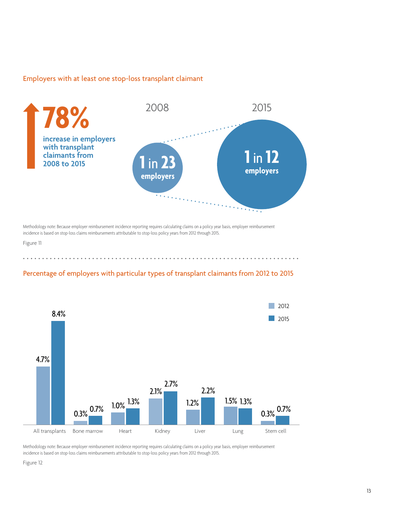#### Employers with at least one stop-loss transplant claimant



Methodology note: Because employer reimbursement incidence reporting requires calculating claims on a policy year basis, employer reimbursement incidence is based on stop-loss claims reimbursements attributable to stop-loss policy years from 2012 through 2015.

Figure 11

#### Percentage of employers with particular types of transplant claimants from 2012 to 2015



Methodology note: Because employer reimbursement incidence reporting requires calculating claims on a policy year basis, employer reimbursement incidence is based on stop-loss claims reimbursements attributable to stop-loss policy years from 2012 through 2015.

Figure 12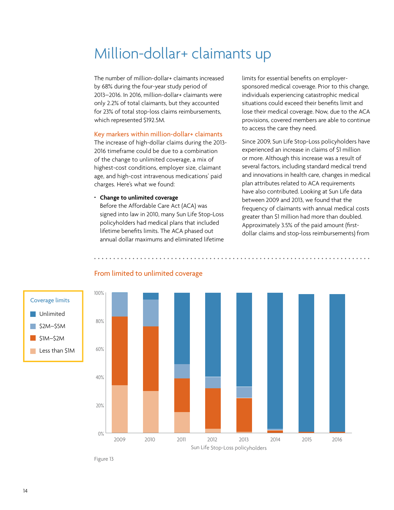# Million-dollar+ claimants up

The number of million-dollar+ claimants increased by 68% during the four-year study period of 2013–2016. In 2016, million-dollar+ claimants were only 2.2% of total claimants, but they accounted for 23% of total stop-loss claims reimbursements, which represented \$192.5M.

#### Key markers within million-dollar+ claimants

The increase of high-dollar claims during the 2013- 2016 timeframe could be due to a combination of the change to unlimited coverage, a mix of highest-cost conditions, employer size, claimant age, and high-cost intravenous medications' paid charges. Here's what we found:

#### • **Change to unlimited coverage**

Before the Affordable Care Act (ACA) was signed into law in 2010, many Sun Life Stop-Loss policyholders had medical plans that included lifetime benefits limits. The ACA phased out annual dollar maximums and eliminated lifetime limits for essential benefits on employersponsored medical coverage. Prior to this change, individuals experiencing catastrophic medical situations could exceed their benefits limit and lose their medical coverage. Now, due to the ACA provisions, covered members are able to continue to access the care they need.

Since 2009, Sun Life Stop-Loss policyholders have experienced an increase in claims of \$1 million or more. Although this increase was a result of several factors, including standard medical trend and innovations in health care, changes in medical plan attributes related to ACA requirements have also contributed. Looking at Sun Life data between 2009 and 2013, we found that the frequency of claimants with annual medical costs greater than \$1 million had more than doubled. Approximately 3.5% of the paid amount (firstdollar claims and stop-loss reimbursements) from







Figure 13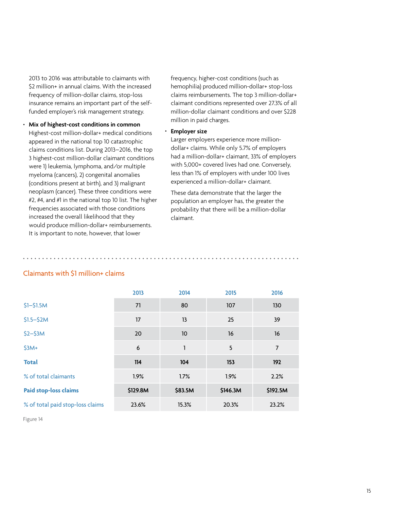2013 to 2016 was attributable to claimants with \$2 million+ in annual claims. With the increased frequency of million-dollar claims, stop-loss insurance remains an important part of the selffunded employer's risk management strategy.

• **Mix of highest-cost conditions in common** Highest-cost million-dollar+ medical conditions appeared in the national top 10 catastrophic claims conditions list. During 2013–2016, the top 3 highest-cost million-dollar claimant conditions were 1) leukemia, lymphoma, and/or multiple myeloma (cancers), 2) congenital anomalies (conditions present at birth), and 3) malignant neoplasm (cancer). These three conditions were #2, #4, and #1 in the national top 10 list. The higher frequencies associated with those conditions increased the overall likelihood that they would produce million-dollar+ reimbursements. It is important to note, however, that lower

frequency, higher-cost conditions (such as hemophilia) produced million-dollar+ stop-loss claims reimbursements. The top 3 million-dollar+ claimant conditions represented over 27.3% of all million-dollar claimant conditions and over \$228 million in paid charges.

#### • **Employer size**

Larger employers experience more milliondollar+ claims. While only 5.7% of employers had a million-dollar+ claimant, 33% of employers with 5,000+ covered lives had one. Conversely, less than 1% of employers with under 100 lives experienced a million-dollar+ claimant.

These data demonstrate that the larger the population an employer has, the greater the probability that there will be a million-dollar claimant.

|                                  | 2013     | 2014    | 2015     | 2016           |
|----------------------------------|----------|---------|----------|----------------|
| $$1 - $1.5M$                     | 71       | 80      | 107      | 130            |
| $$1.5 - $2M$                     | 17       | 13      | 25       | 39             |
| $$2-$3M$                         | 20       | 10      | 16       | 16             |
| $$3M+$                           | 6        | 1       | 5        | $\overline{7}$ |
| <b>Total</b>                     | 114      | 104     | 153      | 192            |
| % of total claimants             | 1.9%     | 1.7%    | 1.9%     | 2.2%           |
| <b>Paid stop-loss claims</b>     | \$129.8M | \$83.5M | \$146.3M | \$192.5M       |
| % of total paid stop-loss claims | 23.6%    | 15.3%   | 20.3%    | 23.2%          |

#### Claimants with \$1 million+ claims

Figure 14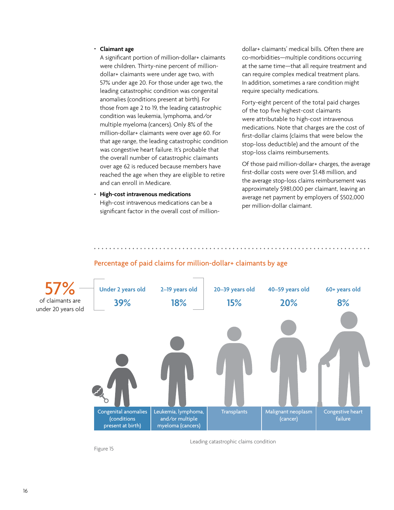#### • **Claimant age**

A significant portion of million-dollar+ claimants were children. Thirty-nine percent of milliondollar+ claimants were under age two, with 57% under age 20. For those under age two, the leading catastrophic condition was congenital anomalies (conditions present at birth). For those from age 2 to 19, the leading catastrophic condition was leukemia, lymphoma, and/or multiple myeloma (cancers). Only 8% of the million-dollar+ claimants were over age 60. For that age range, the leading catastrophic condition was congestive heart failure. It's probable that the overall number of catastrophic claimants over age 62 is reduced because members have reached the age when they are eligible to retire and can enroll in Medicare.

#### • **High-cost intravenous medications**

High-cost intravenous medications can be a significant factor in the overall cost of milliondollar+ claimants' medical bills. Often there are co-morbidities—multiple conditions occurring at the same time—that all require treatment and can require complex medical treatment plans. In addition, sometimes a rare condition might require specialty medications.

Forty-eight percent of the total paid charges of the top five highest-cost claimants were attributable to high-cost intravenous medications. Note that charges are the cost of first-dollar claims (claims that were below the stop-loss deductible) and the amount of the stop-loss claims reimbursements.

Of those paid million-dollar+ charges, the average first-dollar costs were over \$1.48 million, and the average stop-loss claims reimbursement was approximately \$981,000 per claimant, leaving an average net payment by employers of \$502,000 per million-dollar claimant.



#### Percentage of paid claims for million-dollar+ claimants by age

Leading catastrophic claims condition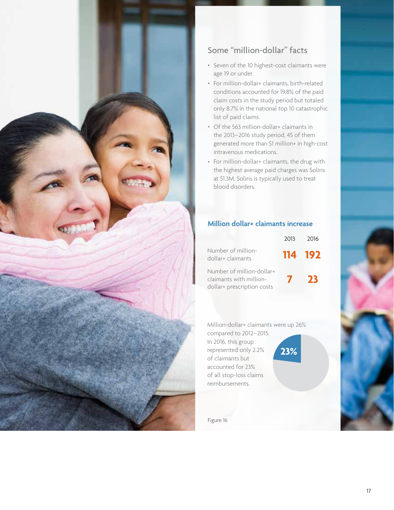

#### Some "million-dollar" facts

- Seven of the 10 highest-cost claimants were age 19 or under.
- For million-dollar+ claimants, birth-related conditions accounted for 19.8% of the paid claim costs in the study period but totaled only 8.7% in the national top 10 catastrophic list of paid claims.
- Of the 563 million-dollar+ claimants in the 2013–2016 study period, 45 of them generated more than \$1 million+ in high-cost intravenous medications.
- For million-dollar+ claimants, the drug with the highest average paid charges was Soliris at \$1.3M. Soliris is typically used to treat blood disorders.

#### **Million dollar+ claimants increase**

|                                                                                    | 2013         | 2016    |
|------------------------------------------------------------------------------------|--------------|---------|
| Number of million-<br>dollar+ claimants                                            |              | 114 192 |
| Number of million-dollar+<br>claimants with million-<br>dollar+ prescription costs | $\mathbf{v}$ | - 73    |

Million-dollar+ claimants were up 26%

**23%**

compared to 2012–2015. In 2016, this group represented only 2.2% of claimants but accounted for 23% of all stop-loss claims reimbursements.

Figure 16

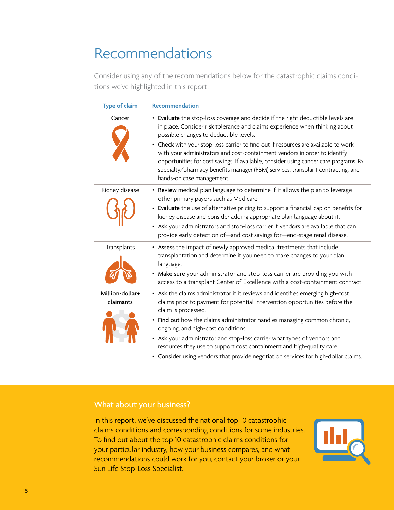# Recommendations

Consider using any of the recommendations below for the catastrophic claims conditions we've highlighted in this report.

| <b>Type of claim</b>         | Recommendation                                                                                                                                                                                                                                                                                                                                                                                                                                                                                                                                                                        |
|------------------------------|---------------------------------------------------------------------------------------------------------------------------------------------------------------------------------------------------------------------------------------------------------------------------------------------------------------------------------------------------------------------------------------------------------------------------------------------------------------------------------------------------------------------------------------------------------------------------------------|
| Cancer                       | • Evaluate the stop-loss coverage and decide if the right deductible levels are<br>in place. Consider risk tolerance and claims experience when thinking about<br>possible changes to deductible levels.<br>• Check with your stop-loss carrier to find out if resources are available to work<br>with your administrators and cost-containment vendors in order to identify<br>opportunities for cost savings. If available, consider using cancer care programs, Rx<br>specialty/pharmacy benefits manager (PBM) services, transplant contracting, and<br>hands-on case management. |
| Kidney disease               | • Review medical plan language to determine if it allows the plan to leverage<br>other primary payors such as Medicare.<br>• Evaluate the use of alternative pricing to support a financial cap on benefits for<br>kidney disease and consider adding appropriate plan language about it.<br>• Ask your administrators and stop-loss carrier if vendors are available that can<br>provide early detection of-and cost savings for-end-stage renal disease.                                                                                                                            |
| Transplants                  | • Assess the impact of newly approved medical treatments that include<br>transplantation and determine if you need to make changes to your plan<br>language.<br>• Make sure your administrator and stop-loss carrier are providing you with<br>access to a transplant Center of Excellence with a cost-containment contract.                                                                                                                                                                                                                                                          |
| Million-dollar+<br>claimants | • Ask the claims administrator if it reviews and identifies emerging high-cost<br>claims prior to payment for potential intervention opportunities before the<br>claim is processed.<br>• Find out how the claims administrator handles managing common chronic,<br>ongoing, and high-cost conditions.<br>• Ask your administrator and stop-loss carrier what types of vendors and<br>resources they use to support cost containment and high-quality care.<br>• Consider using vendors that provide negotiation services for high-dollar claims.                                     |

#### What about your business?

In this report, we've discussed the national top 10 catastrophic claims conditions and corresponding conditions for some industries. To find out about the top 10 catastrophic claims conditions for your particular industry, how your business compares, and what recommendations could work for you, contact your broker or your Sun Life Stop-Loss Specialist.

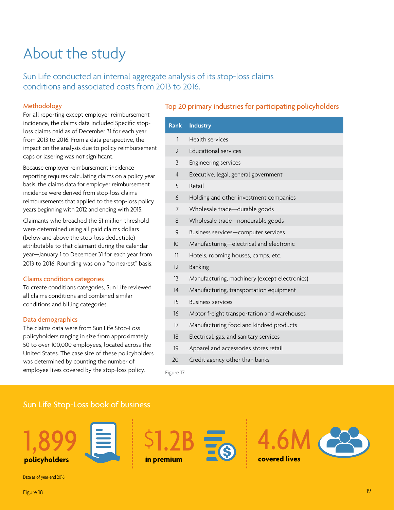# About the study

Sun Life conducted an internal aggregate analysis of its stop-loss claims conditions and associated costs from 2013 to 2016.

#### Methodology

For all reporting except employer reimbursement incidence, the claims data included Specific stoploss claims paid as of December 31 for each year from 2013 to 2016. From a data perspective, the impact on the analysis due to policy reimbursement caps or lasering was not significant.

Because employer reimbursement incidence reporting requires calculating claims on a policy year basis, the claims data for employer reimbursement incidence were derived from stop-loss claims reimbursements that applied to the stop-loss policy years beginning with 2012 and ending with 2015.

Claimants who breached the \$1 million threshold were determined using all paid claims dollars (below and above the stop-loss deductible) attributable to that claimant during the calendar year—January 1 to December 31 for each year from 2013 to 2016. Rounding was on a "to nearest" basis.

#### Claims conditions categories

To create conditions categories, Sun Life reviewed all claims conditions and combined similar conditions and billing categories.

#### Data demographics

The claims data were from Sun Life Stop-Loss policyholders ranging in size from approximately 50 to over 100,000 employees, located across the United States. The case size of these policyholders was determined by counting the number of employee lives covered by the stop-loss policy.

#### Top 20 primary industries for participating policyholders

| <b>Rank</b>     | <b>Industry</b>                               |
|-----------------|-----------------------------------------------|
| $\mathbf{1}$    | <b>Health services</b>                        |
| $\overline{2}$  | <b>Educational services</b>                   |
| $\overline{3}$  | Engineering services                          |
| $\overline{4}$  | Executive, legal, general government          |
| 5               | Retail                                        |
| 6               | Holding and other investment companies        |
| 7               | Wholesale trade-durable goods                 |
| 8               | Wholesale trade-nondurable goods              |
| 9               | Business services-computer services           |
| 10 <sup>°</sup> | Manufacturing-electrical and electronic       |
| 11              | Hotels, rooming houses, camps, etc.           |
| 12              | <b>Banking</b>                                |
| 13              | Manufacturing, machinery (except electronics) |
| 14              | Manufacturing, transportation equipment       |
| 15              | <b>Business services</b>                      |
| 16              | Motor freight transportation and warehouses   |
| 17              | Manufacturing food and kindred products       |
| 18              | Electrical, gas, and sanitary services        |
| 19              | Apparel and accessories stores retail         |
| 20              | Credit agency other than banks                |

Figure 17

#### Sun Life Stop-Loss book of business











Data as of year-end 2016.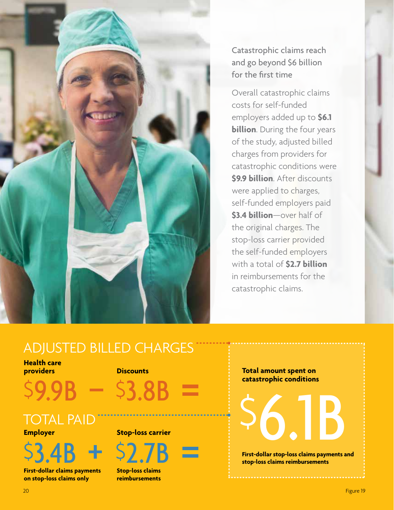

Catastrophic claims reach and go beyond \$6 billion for the first time

Overall catastrophic claims costs for self-funded employers added up to **\$6.1 billion**. During the four years of the study, adjusted billed charges from providers for catastrophic conditions were **\$9.9 billion**. After discounts were applied to charges, self-funded employers paid **\$3.4 billion**—over half of the original charges. The stop-loss carrier provided the self-funded employers with a total of **\$2.7 billion** in reimbursements for the catastrophic claims.

# ADJUSTED BILLED CHARGES

#### **Health care providers Discounts**



#### TOTAL PAID<sup>®</sup> **Employer**

 $$3.4B + $2$ 

**First-dollar claims payments on stop-loss claims only**

#### **Stop-loss carrier**

**Stop-loss claims reimbursements**

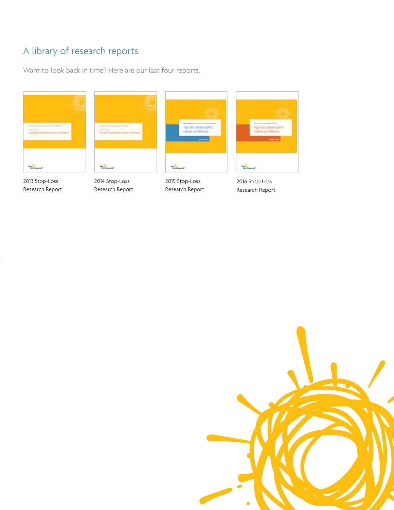### A library of research reports

Want to look back in time? Here are our last four reports.



2013 Stop-Loss [Research Report](http://bit.ly/1SQxWNg)



2014 Stop-Loss [Research Report](http://bit.ly/1Oe3STt)



2015 Stop-Loss [Research Report](http://bit.ly/1C2WBBl)



2016 Stop-Loss [Research Report](http://bit.ly/2dL2WRF)